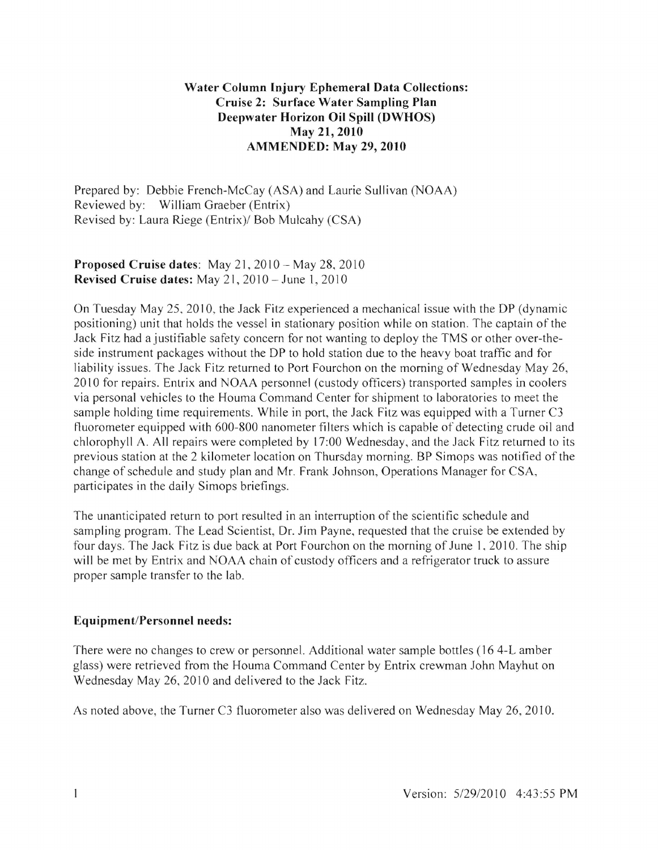## Water Column Injury Ephemeral Data Collections: Cruise 2: Surface Water Sampling Plan Deepwater Horizon Oil Spill (DWHOS) May 21, 2010 AMMENDED: May 29, 2010

Prepared by: Debbie French-McCay (ASA) and Laurie Sullivan (NOAA) Reviewed by: William Graeber (Entrix) Revised by: Laura Riege (Entrix)/ Bob Mulcahy (CSA)

### Proposed Cruise dates: May  $21, 2010 -$ May  $28, 2010$ Revised Cruise dates: May  $21, 2010$  – June 1, 2010

On Tuesday May 25, 2010, the Jack Fitz experienced a mechanical issue with the DP (dynamic positioning) unit that holds the vessel in stationary position while on station. The captain of the Jack Fitz had a justifiable safety concern for not wanting to deploy the TMS or other over-theside instrument packages without the DP to hold station due to the heavy boat traffic and for liability issues. The Jack Fitz returned to Port Fourchon on the morning of Wednesday May 26, 2010 for repairs. Entrix and NOAA personnel (custody officers) transported samples in coolers via personal vehicles to the Houma Command Center for shipment to laboratories to meet the sample holding time requirements. While in port, the Jack Fitz was equipped with a Turner C3 fluorometer equipped with 600-800 nanometer filters which is capable of detecting crude oil and chlorophyll A. All repairs were completed by 17:00 Wednesday, and the Jack Fitz returned to its previous station at the 2 kilometer location on Thursday morning. BP Simops was notified of the change of schedule and study plan and Mr. Frank Johnson, Operations Manager for CSA, participates in the daily Simops briefings.

The unanticipated return to port resulted in an interruption of the scientific schedule and sampling program. The Lead Scientist, Dr. Jim Payne, requested that the cruise be extended by four days. The Jack Fitz is due back at Port Fourchon on the morning of June 1, 2010. The ship will be met by Entrix and NOAA chain of custody officers and a refrigerator truck to assure proper sample transfer to the lab.

# Equipment/Personnel needs:

There were no changes to crew or personnel. Additional water sample bottles (164-L amber glass) were retrieved from the Houma Command Center by Entrix crewman John Mayhut on Wednesday May 26, 2010 and delivered to the Jack Fitz.

As noted above, the Turner C3 fluorometer also was delivered on Wednesday May 26, 2010.